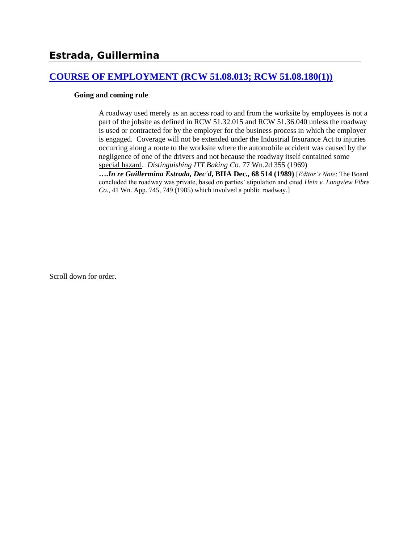### **[COURSE OF EMPLOYMENT \(RCW 51.08.013; RCW 51.08.180\(1\)\)](http://www.biia.wa.gov/SDSubjectIndex.html#COURSE_OF_EMPLOYMENT)**

#### **Going and coming rule**

A roadway used merely as an access road to and from the worksite by employees is not a part of the jobsite as defined in RCW 51.32.015 and RCW 51.36.040 unless the roadway is used or contracted for by the employer for the business process in which the employer is engaged. Coverage will not be extended under the Industrial Insurance Act to injuries occurring along a route to the worksite where the automobile accident was caused by the negligence of one of the drivers and not because the roadway itself contained some special hazard. *Distinguishing ITT Baking Co.* 77 Wn.2d 355 (1969)

**….***In re Guillermina Estrada, Dec'd***, BIIA Dec., 68 514 (1989)** [*Editor's Note*: The Board concluded the roadway was private, based on parties' stipulation and cited *Hein v. Longview Fibre Co*., 41 Wn. App. 745, 749 (1985) which involved a public roadway.]

Scroll down for order.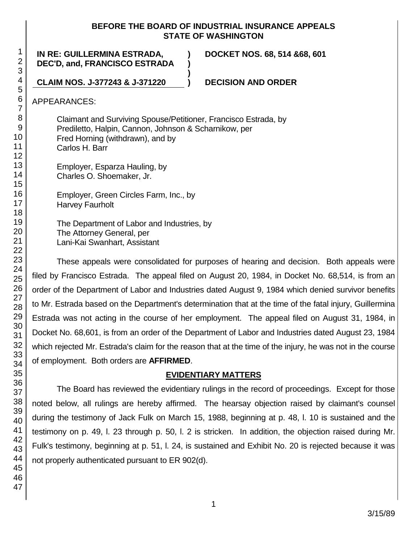### **BEFORE THE BOARD OF INDUSTRIAL INSURANCE APPEALS STATE OF WASHINGTON**

**) )**

**)**

**IN RE: GUILLERMINA ESTRADA, DEC'D, and, FRANCISCO ESTRADA** **DOCKET NOS. 68, 514 &68, 601**

**CLAIM NOS. J-377243 & J-371220 ) DECISION AND ORDER**

APPEARANCES:

Claimant and Surviving Spouse/Petitioner, Francisco Estrada, by Prediletto, Halpin, Cannon, Johnson & Scharnikow, per Fred Horning (withdrawn), and by Carlos H. Barr

Employer, Esparza Hauling, by Charles O. Shoemaker, Jr.

Employer, Green Circles Farm, Inc., by Harvey Faurholt

The Department of Labor and Industries, by The Attorney General, per Lani-Kai Swanhart, Assistant

These appeals were consolidated for purposes of hearing and decision. Both appeals were filed by Francisco Estrada. The appeal filed on August 20, 1984, in Docket No. 68,514, is from an order of the Department of Labor and Industries dated August 9, 1984 which denied survivor benefits to Mr. Estrada based on the Department's determination that at the time of the fatal injury, Guillermina Estrada was not acting in the course of her employment. The appeal filed on August 31, 1984, in Docket No. 68,601, is from an order of the Department of Labor and Industries dated August 23, 1984 which rejected Mr. Estrada's claim for the reason that at the time of the injury, he was not in the course of employment. Both orders are **AFFIRMED**.

# **EVIDENTIARY MATTERS**

The Board has reviewed the evidentiary rulings in the record of proceedings. Except for those noted below, all rulings are hereby affirmed. The hearsay objection raised by claimant's counsel during the testimony of Jack Fulk on March 15, 1988, beginning at p. 48, l. 10 is sustained and the testimony on p. 49, l. 23 through p. 50, l. 2 is stricken. In addition, the objection raised during Mr. Fulk's testimony, beginning at p. 51, l. 24, is sustained and Exhibit No. 20 is rejected because it was not properly authenticated pursuant to ER 902(d).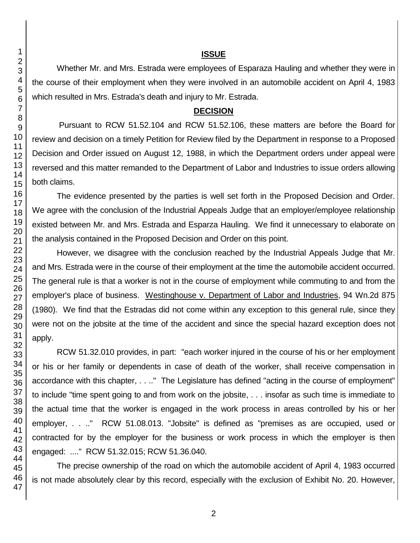#### **ISSUE**

Whether Mr. and Mrs. Estrada were employees of Esparaza Hauling and whether they were in the course of their employment when they were involved in an automobile accident on April 4, 1983 which resulted in Mrs. Estrada's death and injury to Mr. Estrada.

### **DECISION**

Pursuant to RCW 51.52.104 and RCW 51.52.106, these matters are before the Board for review and decision on a timely Petition for Review filed by the Department in response to a Proposed Decision and Order issued on August 12, 1988, in which the Department orders under appeal were reversed and this matter remanded to the Department of Labor and Industries to issue orders allowing both claims.

The evidence presented by the parties is well set forth in the Proposed Decision and Order. We agree with the conclusion of the Industrial Appeals Judge that an employer/employee relationship existed between Mr. and Mrs. Estrada and Esparza Hauling. We find it unnecessary to elaborate on the analysis contained in the Proposed Decision and Order on this point.

However, we disagree with the conclusion reached by the Industrial Appeals Judge that Mr. and Mrs. Estrada were in the course of their employment at the time the automobile accident occurred. The general rule is that a worker is not in the course of employment while commuting to and from the employer's place of business. Westinghouse v. Department of Labor and Industries, 94 Wn.2d 875 (1980). We find that the Estradas did not come within any exception to this general rule, since they were not on the jobsite at the time of the accident and since the special hazard exception does not apply.

RCW 51.32.010 provides, in part: "each worker injured in the course of his or her employment or his or her family or dependents in case of death of the worker, shall receive compensation in accordance with this chapter, . . .." The Legislature has defined "acting in the course of employment" to include "time spent going to and from work on the jobsite, . . . insofar as such time is immediate to the actual time that the worker is engaged in the work process in areas controlled by his or her employer, . . .." RCW 51.08.013. "Jobsite" is defined as "premises as are occupied, used or contracted for by the employer for the business or work process in which the employer is then engaged: ...." RCW 51.32.015; RCW 51.36.040.

The precise ownership of the road on which the automobile accident of April 4, 1983 occurred is not made absolutely clear by this record, especially with the exclusion of Exhibit No. 20. However,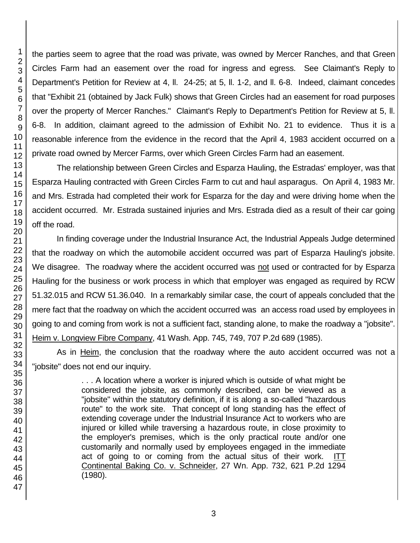the parties seem to agree that the road was private, was owned by Mercer Ranches, and that Green Circles Farm had an easement over the road for ingress and egress. See Claimant's Reply to Department's Petition for Review at 4, ll. 24-25; at 5, ll. 1-2, and ll. 6-8. Indeed, claimant concedes that "Exhibit 21 (obtained by Jack Fulk) shows that Green Circles had an easement for road purposes over the property of Mercer Ranches." Claimant's Reply to Department's Petition for Review at 5, ll. 6-8. In addition, claimant agreed to the admission of Exhibit No. 21 to evidence. Thus it is a reasonable inference from the evidence in the record that the April 4, 1983 accident occurred on a private road owned by Mercer Farms, over which Green Circles Farm had an easement.

The relationship between Green Circles and Esparza Hauling, the Estradas' employer, was that Esparza Hauling contracted with Green Circles Farm to cut and haul asparagus. On April 4, 1983 Mr. and Mrs. Estrada had completed their work for Esparza for the day and were driving home when the accident occurred. Mr. Estrada sustained injuries and Mrs. Estrada died as a result of their car going off the road.

In finding coverage under the Industrial Insurance Act, the Industrial Appeals Judge determined that the roadway on which the automobile accident occurred was part of Esparza Hauling's jobsite. We disagree. The roadway where the accident occurred was not used or contracted for by Esparza Hauling for the business or work process in which that employer was engaged as required by RCW 51.32.015 and RCW 51.36.040. In a remarkably similar case, the court of appeals concluded that the mere fact that the roadway on which the accident occurred was an access road used by employees in going to and coming from work is not a sufficient fact, standing alone, to make the roadway a "jobsite". Heim v. Longview Fibre Company, 41 Wash. App. 745, 749, 707 P.2d 689 (1985).

As in Heim, the conclusion that the roadway where the auto accident occurred was not a "jobsite" does not end our inquiry.

> . . . A location where a worker is injured which is outside of what might be considered the jobsite, as commonly described, can be viewed as a "jobsite" within the statutory definition, if it is along a so-called "hazardous route" to the work site. That concept of long standing has the effect of extending coverage under the Industrial Insurance Act to workers who are injured or killed while traversing a hazardous route, in close proximity to the employer's premises, which is the only practical route and/or one customarily and normally used by employees engaged in the immediate act of going to or coming from the actual situs of their work. ITT Continental Baking Co. v. Schneider, 27 Wn. App. 732, 621 P.2d 1294 (1980).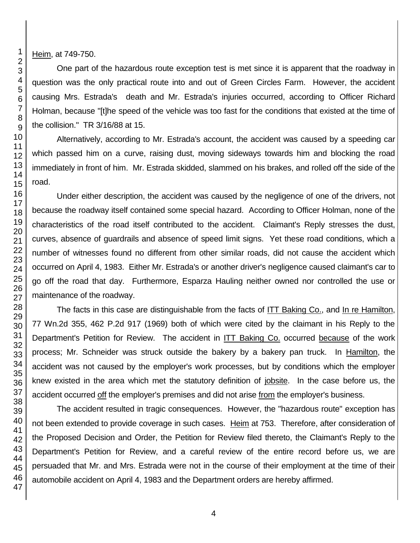Heim, at 749-750.

One part of the hazardous route exception test is met since it is apparent that the roadway in question was the only practical route into and out of Green Circles Farm. However, the accident causing Mrs. Estrada's death and Mr. Estrada's injuries occurred, according to Officer Richard Holman, because "[t]he speed of the vehicle was too fast for the conditions that existed at the time of the collision." TR 3/16/88 at 15.

Alternatively, according to Mr. Estrada's account, the accident was caused by a speeding car which passed him on a curve, raising dust, moving sideways towards him and blocking the road immediately in front of him. Mr. Estrada skidded, slammed on his brakes, and rolled off the side of the road.

Under either description, the accident was caused by the negligence of one of the drivers, not because the roadway itself contained some special hazard. According to Officer Holman, none of the characteristics of the road itself contributed to the accident. Claimant's Reply stresses the dust, curves, absence of guardrails and absence of speed limit signs. Yet these road conditions, which a number of witnesses found no different from other similar roads, did not cause the accident which occurred on April 4, 1983. Either Mr. Estrada's or another driver's negligence caused claimant's car to go off the road that day. Furthermore, Esparza Hauling neither owned nor controlled the use or maintenance of the roadway.

The facts in this case are distinguishable from the facts of ITT Baking Co., and In re Hamilton, 77 Wn.2d 355, 462 P.2d 917 (1969) both of which were cited by the claimant in his Reply to the Department's Petition for Review. The accident in ITT Baking Co. occurred because of the work process; Mr. Schneider was struck outside the bakery by a bakery pan truck. In Hamilton, the accident was not caused by the employer's work processes, but by conditions which the employer knew existed in the area which met the statutory definition of jobsite. In the case before us, the accident occurred off the employer's premises and did not arise from the employer's business.

The accident resulted in tragic consequences. However, the "hazardous route" exception has not been extended to provide coverage in such cases. Heim at 753. Therefore, after consideration of the Proposed Decision and Order, the Petition for Review filed thereto, the Claimant's Reply to the Department's Petition for Review, and a careful review of the entire record before us, we are persuaded that Mr. and Mrs. Estrada were not in the course of their employment at the time of their automobile accident on April 4, 1983 and the Department orders are hereby affirmed.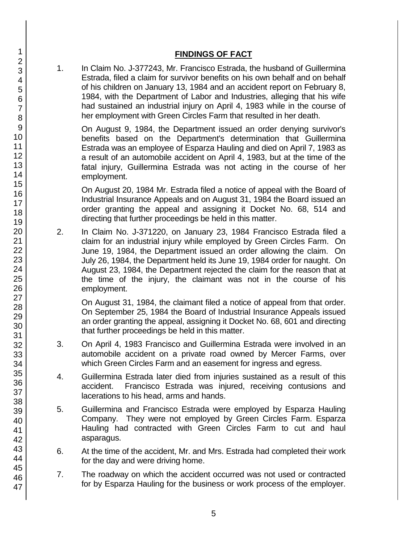## **FINDINGS OF FACT**

1. In Claim No. J-377243, Mr. Francisco Estrada, the husband of Guillermina Estrada, filed a claim for survivor benefits on his own behalf and on behalf of his children on January 13, 1984 and an accident report on February 8, 1984, with the Department of Labor and Industries, alleging that his wife had sustained an industrial injury on April 4, 1983 while in the course of her employment with Green Circles Farm that resulted in her death.

On August 9, 1984, the Department issued an order denying survivor's benefits based on the Department's determination that Guillermina Estrada was an employee of Esparza Hauling and died on April 7, 1983 as a result of an automobile accident on April 4, 1983, but at the time of the fatal injury, Guillermina Estrada was not acting in the course of her employment.

On August 20, 1984 Mr. Estrada filed a notice of appeal with the Board of Industrial Insurance Appeals and on August 31, 1984 the Board issued an order granting the appeal and assigning it Docket No. 68, 514 and directing that further proceedings be held in this matter.

2. In Claim No. J-371220, on January 23, 1984 Francisco Estrada filed a claim for an industrial injury while employed by Green Circles Farm. On June 19, 1984, the Department issued an order allowing the claim. On July 26, 1984, the Department held its June 19, 1984 order for naught. On August 23, 1984, the Department rejected the claim for the reason that at the time of the injury, the claimant was not in the course of his employment.

On August 31, 1984, the claimant filed a notice of appeal from that order. On September 25, 1984 the Board of Industrial Insurance Appeals issued an order granting the appeal, assigning it Docket No. 68, 601 and directing that further proceedings be held in this matter.

- 3. On April 4, 1983 Francisco and Guillermina Estrada were involved in an automobile accident on a private road owned by Mercer Farms, over which Green Circles Farm and an easement for ingress and egress.
- 4. Guillermina Estrada later died from injuries sustained as a result of this accident. Francisco Estrada was injured, receiving contusions and lacerations to his head, arms and hands.
- 5. Guillermina and Francisco Estrada were employed by Esparza Hauling Company. They were not employed by Green Circles Farm. Esparza Hauling had contracted with Green Circles Farm to cut and haul asparagus.
- 6. At the time of the accident, Mr. and Mrs. Estrada had completed their work for the day and were driving home.
- 7. The roadway on which the accident occurred was not used or contracted for by Esparza Hauling for the business or work process of the employer.